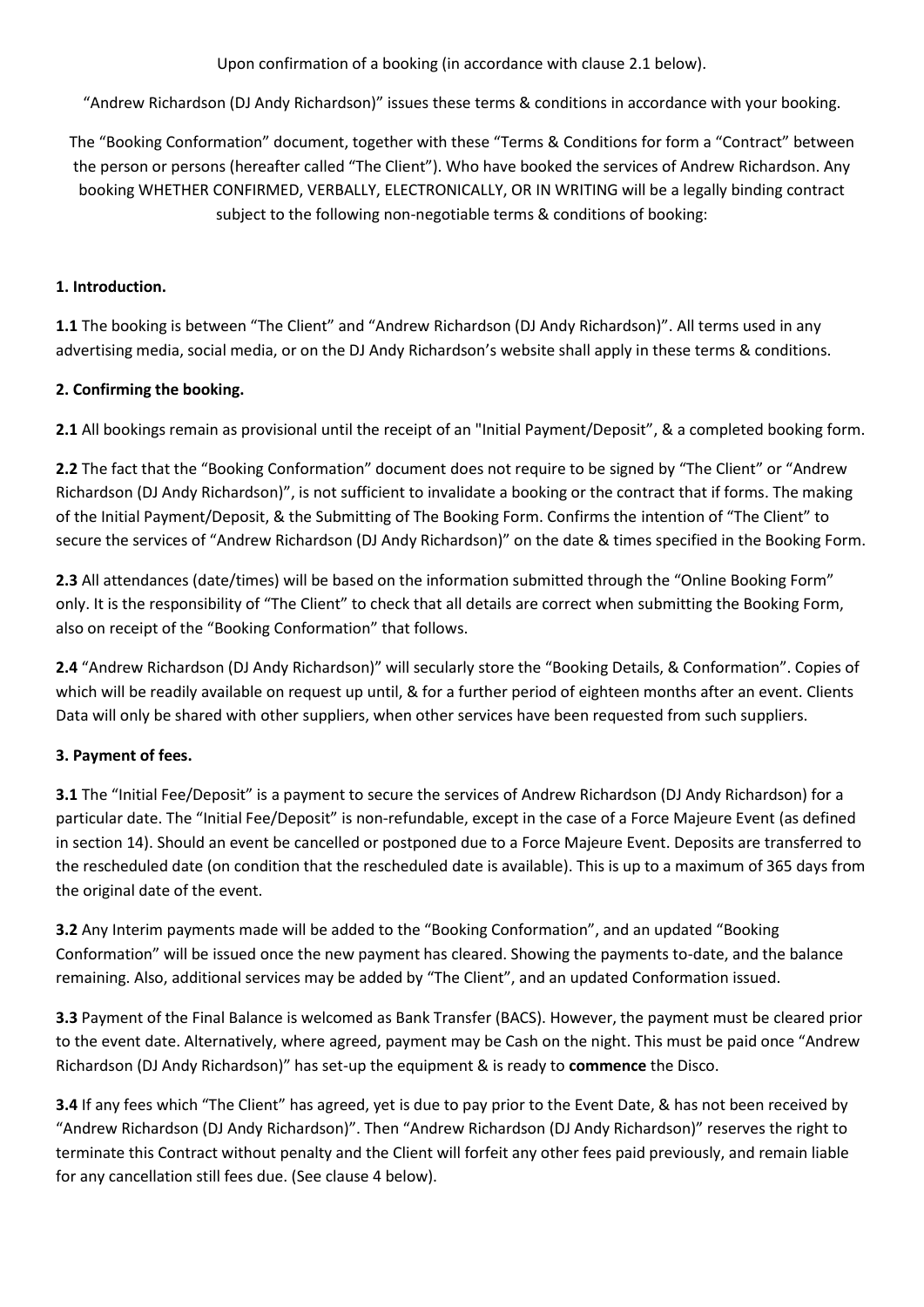Upon confirmation of a booking (in accordance with clause 2.1 below).

"Andrew Richardson (DJ Andy Richardson)" issues these terms & conditions in accordance with your booking.

The "Booking Conformation" document, together with these "Terms & Conditions for form a "Contract" between the person or persons (hereafter called "The Client"). Who have booked the services of Andrew Richardson. Any booking WHETHER CONFIRMED, VERBALLY, ELECTRONICALLY, OR IN WRITING will be a legally binding contract subject to the following non-negotiable terms & conditions of booking:

## **1. Introduction.**

**1.1** The booking is between "The Client" and "Andrew Richardson (DJ Andy Richardson)". All terms used in any advertising media, social media, or on the DJ Andy Richardson's website shall apply in these terms & conditions.

## **2. Confirming the booking.**

**2.1** All bookings remain as provisional until the receipt of an "Initial Payment/Deposit", & a completed booking form.

**2.2** The fact that the "Booking Conformation" document does not require to be signed by "The Client" or "Andrew Richardson (DJ Andy Richardson)", is not sufficient to invalidate a booking or the contract that if forms. The making of the Initial Payment/Deposit, & the Submitting of The Booking Form. Confirms the intention of "The Client" to secure the services of "Andrew Richardson (DJ Andy Richardson)" on the date & times specified in the Booking Form.

**2.3** All attendances (date/times) will be based on the information submitted through the "Online Booking Form" only. It is the responsibility of "The Client" to check that all details are correct when submitting the Booking Form, also on receipt of the "Booking Conformation" that follows.

**2.4** "Andrew Richardson (DJ Andy Richardson)" will secularly store the "Booking Details, & Conformation". Copies of which will be readily available on request up until, & for a further period of eighteen months after an event. Clients Data will only be shared with other suppliers, when other services have been requested from such suppliers.

#### **3. Payment of fees.**

**3.1** The "Initial Fee/Deposit" is a payment to secure the services of Andrew Richardson (DJ Andy Richardson) for a particular date. The "Initial Fee/Deposit" is non-refundable, except in the case of a Force Majeure Event (as defined in section 14). Should an event be cancelled or postponed due to a Force Majeure Event. Deposits are transferred to the rescheduled date (on condition that the rescheduled date is available). This is up to a maximum of 365 days from the original date of the event.

**3.2** Any Interim payments made will be added to the "Booking Conformation", and an updated "Booking Conformation" will be issued once the new payment has cleared. Showing the payments to-date, and the balance remaining. Also, additional services may be added by "The Client", and an updated Conformation issued.

**3.3** Payment of the Final Balance is welcomed as Bank Transfer (BACS). However, the payment must be cleared prior to the event date. Alternatively, where agreed, payment may be Cash on the night. This must be paid once "Andrew Richardson (DJ Andy Richardson)" has set-up the equipment & is ready to **commence** the Disco.

**3.4** If any fees which "The Client" has agreed, yet is due to pay prior to the Event Date, & has not been received by "Andrew Richardson (DJ Andy Richardson)". Then "Andrew Richardson (DJ Andy Richardson)" reserves the right to terminate this Contract without penalty and the Client will forfeit any other fees paid previously, and remain liable for any cancellation still fees due. (See clause 4 below).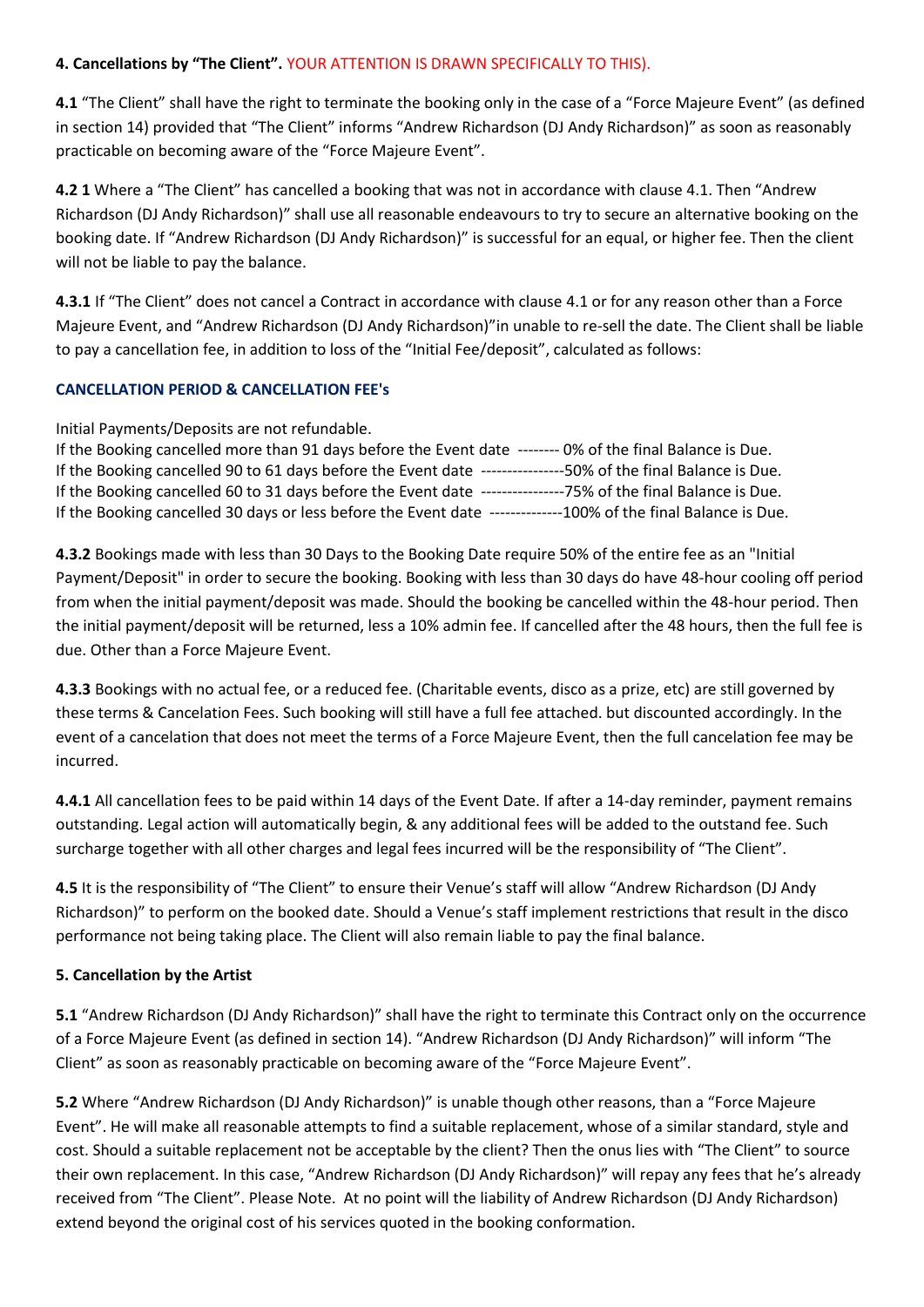#### **4. Cancellations by "The Client".** YOUR ATTENTION IS DRAWN SPECIFICALLY TO THIS).

**4.1** "The Client" shall have the right to terminate the booking only in the case of a "Force Majeure Event" (as defined in section 14) provided that "The Client" informs "Andrew Richardson (DJ Andy Richardson)" as soon as reasonably practicable on becoming aware of the "Force Majeure Event".

**4.2 1** Where a "The Client" has cancelled a booking that was not in accordance with clause 4.1. Then "Andrew Richardson (DJ Andy Richardson)" shall use all reasonable endeavours to try to secure an alternative booking on the booking date. If "Andrew Richardson (DJ Andy Richardson)" is successful for an equal, or higher fee. Then the client will not be liable to pay the balance.

**4.3.1** If "The Client" does not cancel a Contract in accordance with clause 4.1 or for any reason other than a Force Majeure Event, and "Andrew Richardson (DJ Andy Richardson)"in unable to re-sell the date. The Client shall be liable to pay a cancellation fee, in addition to loss of the "Initial Fee/deposit", calculated as follows:

#### **CANCELLATION PERIOD & CANCELLATION FEE's**

Initial Payments/Deposits are not refundable.

| If the Booking cancelled more than 91 days before the Event date -------- 0% of the final Balance is Due. |
|-----------------------------------------------------------------------------------------------------------|
| If the Booking cancelled 90 to 61 days before the Event date -<br>-50% of the final Balance is Due.       |
| If the Booking cancelled 60 to 31 days before the Event date<br>---75% of the final Balance is Due.       |
| If the Booking cancelled 30 days or less before the Event date<br>--100% of the final Balance is Due.     |

**4.3.2** Bookings made with less than 30 Days to the Booking Date require 50% of the entire fee as an "Initial Payment/Deposit" in order to secure the booking. Booking with less than 30 days do have 48-hour cooling off period from when the initial payment/deposit was made. Should the booking be cancelled within the 48-hour period. Then the initial payment/deposit will be returned, less a 10% admin fee. If cancelled after the 48 hours, then the full fee is due. Other than a Force Majeure Event.

**4.3.3** Bookings with no actual fee, or a reduced fee. (Charitable events, disco as a prize, etc) are still governed by these terms & Cancelation Fees. Such booking will still have a full fee attached. but discounted accordingly. In the event of a cancelation that does not meet the terms of a Force Majeure Event, then the full cancelation fee may be incurred.

**4.4.1** All cancellation fees to be paid within 14 days of the Event Date. If after a 14-day reminder, payment remains outstanding. Legal action will automatically begin, & any additional fees will be added to the outstand fee. Such surcharge together with all other charges and legal fees incurred will be the responsibility of "The Client".

**4.5** It is the responsibility of "The Client" to ensure their Venue's staff will allow "Andrew Richardson (DJ Andy Richardson)" to perform on the booked date. Should a Venue's staff implement restrictions that result in the disco performance not being taking place. The Client will also remain liable to pay the final balance.

#### **5. Cancellation by the Artist**

**5.1** "Andrew Richardson (DJ Andy Richardson)" shall have the right to terminate this Contract only on the occurrence of a Force Majeure Event (as defined in section 14). "Andrew Richardson (DJ Andy Richardson)" will inform "The Client" as soon as reasonably practicable on becoming aware of the "Force Majeure Event".

**5.2** Where "Andrew Richardson (DJ Andy Richardson)" is unable though other reasons, than a "Force Majeure Event". He will make all reasonable attempts to find a suitable replacement, whose of a similar standard, style and cost. Should a suitable replacement not be acceptable by the client? Then the onus lies with "The Client" to source their own replacement. In this case, "Andrew Richardson (DJ Andy Richardson)" will repay any fees that he's already received from "The Client". Please Note. At no point will the liability of Andrew Richardson (DJ Andy Richardson) extend beyond the original cost of his services quoted in the booking conformation.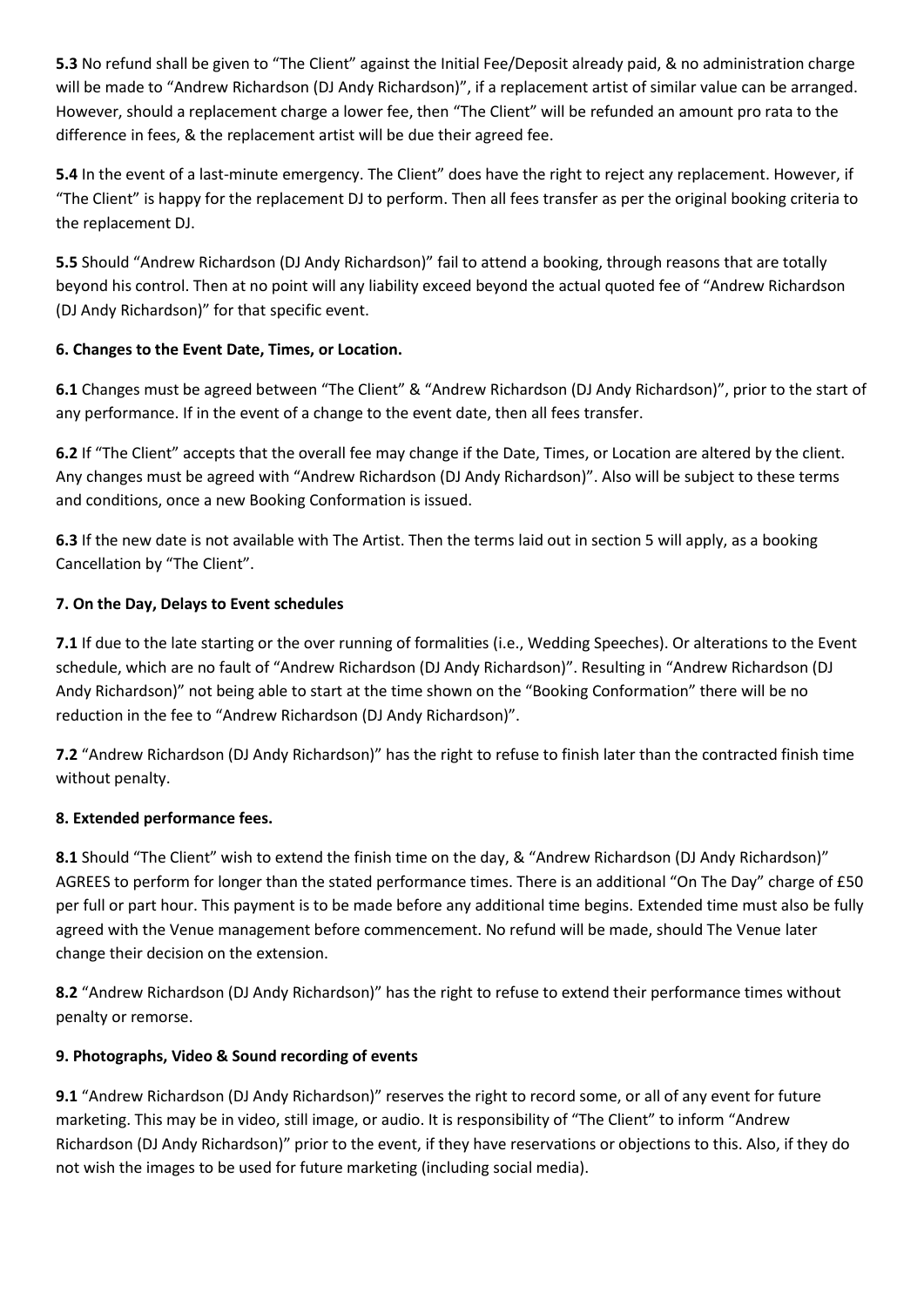**5.3** No refund shall be given to "The Client" against the Initial Fee/Deposit already paid, & no administration charge will be made to "Andrew Richardson (DJ Andy Richardson)", if a replacement artist of similar value can be arranged. However, should a replacement charge a lower fee, then "The Client" will be refunded an amount pro rata to the difference in fees, & the replacement artist will be due their agreed fee.

**5.4** In the event of a last-minute emergency. The Client" does have the right to reject any replacement. However, if "The Client" is happy for the replacement DJ to perform. Then all fees transfer as per the original booking criteria to the replacement DJ.

**5.5** Should "Andrew Richardson (DJ Andy Richardson)" fail to attend a booking, through reasons that are totally beyond his control. Then at no point will any liability exceed beyond the actual quoted fee of "Andrew Richardson (DJ Andy Richardson)" for that specific event.

# **6. Changes to the Event Date, Times, or Location.**

**6.1** Changes must be agreed between "The Client" & "Andrew Richardson (DJ Andy Richardson)", prior to the start of any performance. If in the event of a change to the event date, then all fees transfer.

**6.2** If "The Client" accepts that the overall fee may change if the Date, Times, or Location are altered by the client. Any changes must be agreed with "Andrew Richardson (DJ Andy Richardson)". Also will be subject to these terms and conditions, once a new Booking Conformation is issued.

**6.3** If the new date is not available with The Artist. Then the terms laid out in section 5 will apply, as a booking Cancellation by "The Client".

# **7. On the Day, Delays to Event schedules**

**7.1** If due to the late starting or the over running of formalities (i.e., Wedding Speeches). Or alterations to the Event schedule, which are no fault of "Andrew Richardson (DJ Andy Richardson)". Resulting in "Andrew Richardson (DJ Andy Richardson)" not being able to start at the time shown on the "Booking Conformation" there will be no reduction in the fee to "Andrew Richardson (DJ Andy Richardson)".

**7.2** "Andrew Richardson (DJ Andy Richardson)" has the right to refuse to finish later than the contracted finish time without penalty.

# **8. Extended performance fees.**

**8.1** Should "The Client" wish to extend the finish time on the day, & "Andrew Richardson (DJ Andy Richardson)" AGREES to perform for longer than the stated performance times. There is an additional "On The Day" charge of £50 per full or part hour. This payment is to be made before any additional time begins. Extended time must also be fully agreed with the Venue management before commencement. No refund will be made, should The Venue later change their decision on the extension.

**8.2** "Andrew Richardson (DJ Andy Richardson)" has the right to refuse to extend their performance times without penalty or remorse.

# **9. Photographs, Video & Sound recording of events**

**9.1** "Andrew Richardson (DJ Andy Richardson)" reserves the right to record some, or all of any event for future marketing. This may be in video, still image, or audio. It is responsibility of "The Client" to inform "Andrew Richardson (DJ Andy Richardson)" prior to the event, if they have reservations or objections to this. Also, if they do not wish the images to be used for future marketing (including social media).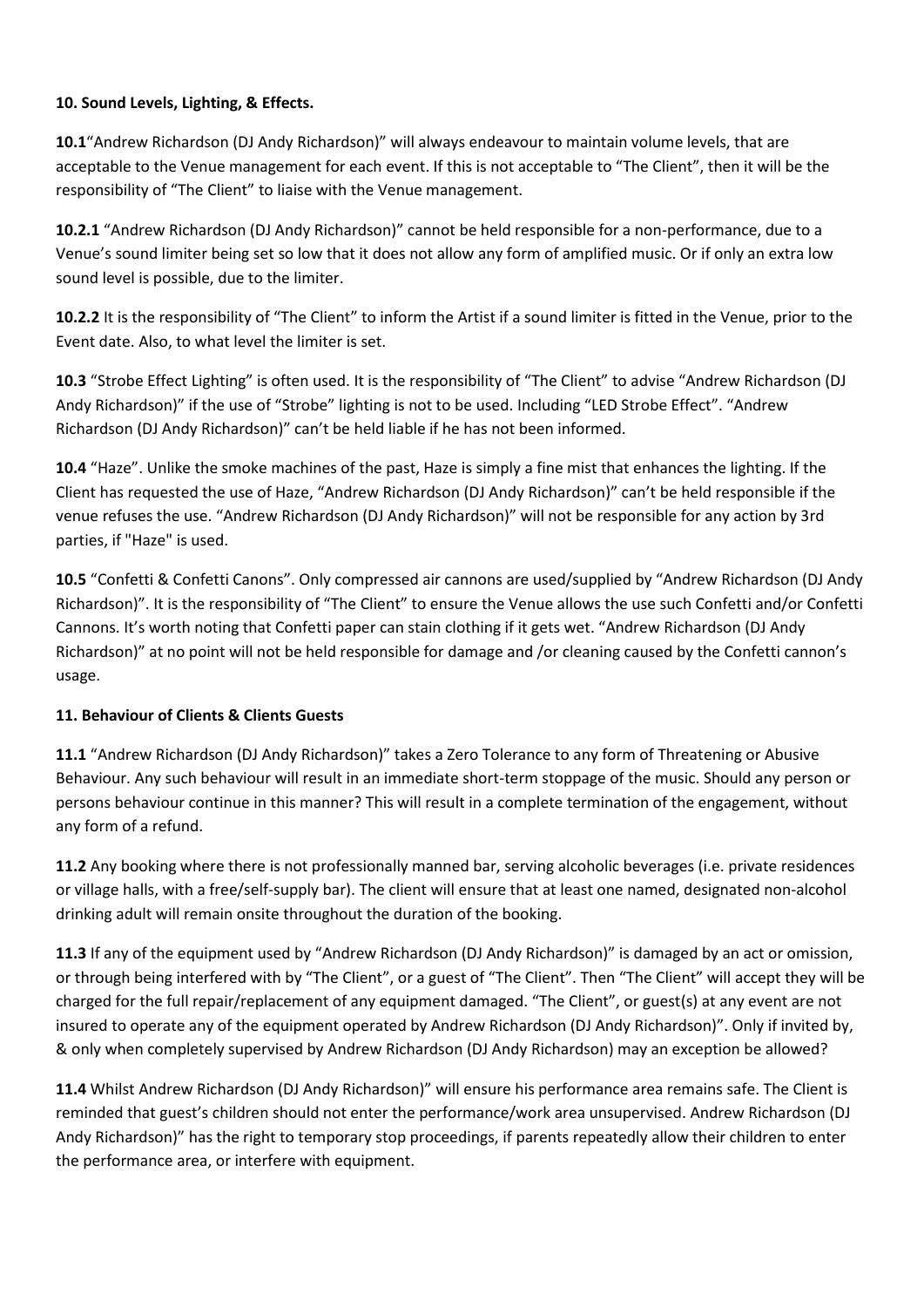### **10. Sound Levels, Lighting, & Effects.**

**10.1**"Andrew Richardson (DJ Andy Richardson)" will always endeavour to maintain volume levels, that are acceptable to the Venue management for each event. If this is not acceptable to "The Client", then it will be the responsibility of "The Client" to liaise with the Venue management.

**10.2.1** "Andrew Richardson (DJ Andy Richardson)" cannot be held responsible for a non-performance, due to a Venue's sound limiter being set so low that it does not allow any form of amplified music. Or if only an extra low sound level is possible, due to the limiter.

**10.2.2** It is the responsibility of "The Client" to inform the Artist if a sound limiter is fitted in the Venue, prior to the Event date. Also, to what level the limiter is set.

**10.3** "Strobe Effect Lighting" is often used. It is the responsibility of "The Client" to advise "Andrew Richardson (DJ Andy Richardson)" if the use of "Strobe" lighting is not to be used. Including "LED Strobe Effect". "Andrew Richardson (DJ Andy Richardson)" can't be held liable if he has not been informed.

**10.4** "Haze". Unlike the smoke machines of the past, Haze is simply a fine mist that enhances the lighting. If the Client has requested the use of Haze, "Andrew Richardson (DJ Andy Richardson)" can't be held responsible if the venue refuses the use. "Andrew Richardson (DJ Andy Richardson)" will not be responsible for any action by 3rd parties, if "Haze" is used.

**10.5** "Confetti & Confetti Canons". Only compressed air cannons are used/supplied by "Andrew Richardson (DJ Andy Richardson)". It is the responsibility of "The Client" to ensure the Venue allows the use such Confetti and/or Confetti Cannons. It's worth noting that Confetti paper can stain clothing if it gets wet. "Andrew Richardson (DJ Andy Richardson)" at no point will not be held responsible for damage and /or cleaning caused by the Confetti cannon's usage.

#### **11. Behaviour of Clients & Clients Guests**

**11.1** "Andrew Richardson (DJ Andy Richardson)" takes a Zero Tolerance to any form of Threatening or Abusive Behaviour. Any such behaviour will result in an immediate short-term stoppage of the music. Should any person or persons behaviour continue in this manner? This will result in a complete termination of the engagement, without any form of a refund.

**11.2** Any booking where there is not professionally manned bar, serving alcoholic beverages (i.e. private residences or village halls, with a free/self-supply bar). The client will ensure that at least one named, designated non-alcohol drinking adult will remain onsite throughout the duration of the booking.

**11.3** If any of the equipment used by "Andrew Richardson (DJ Andy Richardson)" is damaged by an act or omission, or through being interfered with by "The Client", or a guest of "The Client". Then "The Client" will accept they will be charged for the full repair/replacement of any equipment damaged. "The Client", or guest(s) at any event are not insured to operate any of the equipment operated by Andrew Richardson (DJ Andy Richardson)". Only if invited by, & only when completely supervised by Andrew Richardson (DJ Andy Richardson) may an exception be allowed?

**11.4** Whilst Andrew Richardson (DJ Andy Richardson)" will ensure his performance area remains safe. The Client is reminded that guest's children should not enter the performance/work area unsupervised. Andrew Richardson (DJ Andy Richardson)" has the right to temporary stop proceedings, if parents repeatedly allow their children to enter the performance area, or interfere with equipment.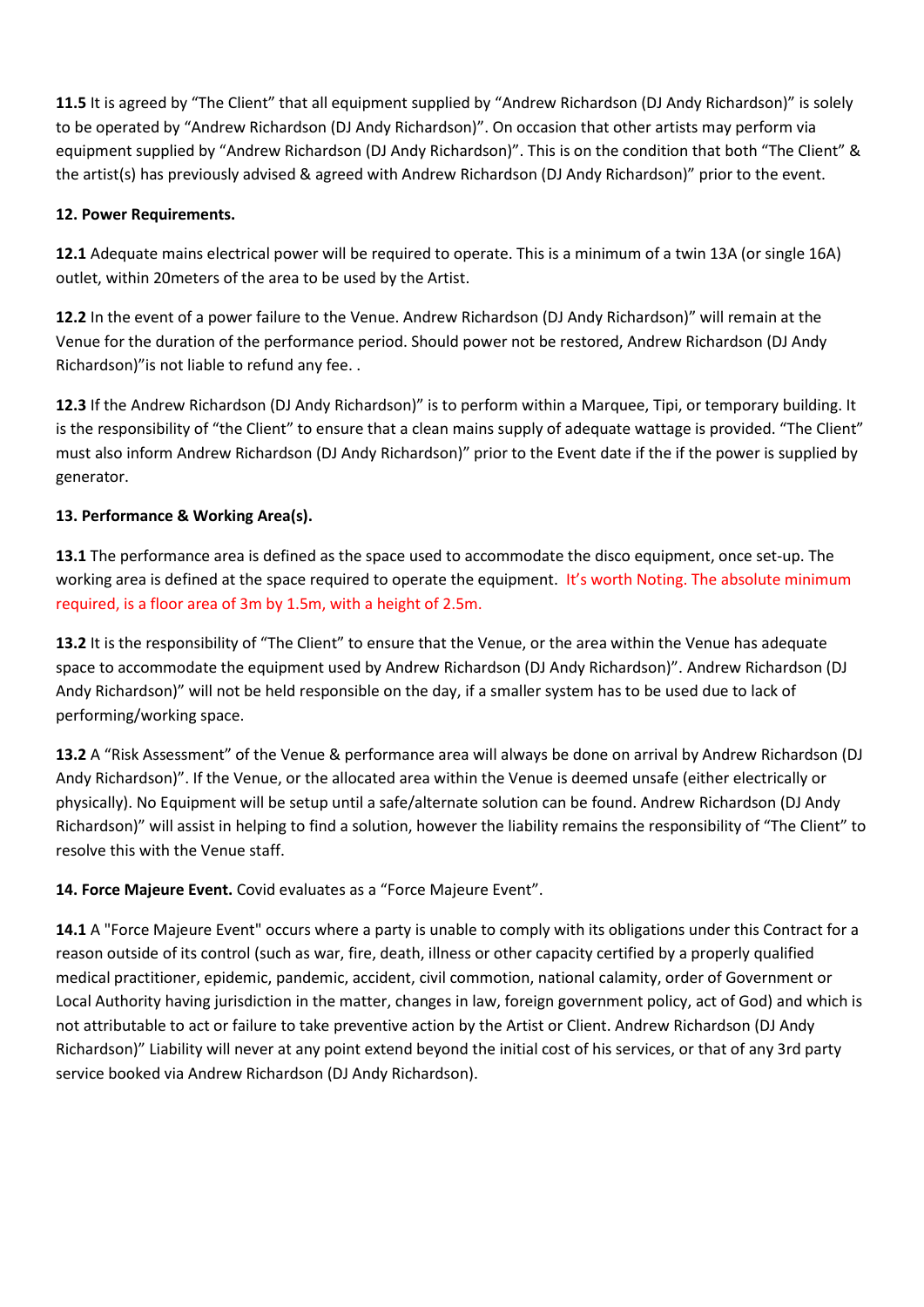**11.5** It is agreed by "The Client" that all equipment supplied by "Andrew Richardson (DJ Andy Richardson)" is solely to be operated by "Andrew Richardson (DJ Andy Richardson)". On occasion that other artists may perform via equipment supplied by "Andrew Richardson (DJ Andy Richardson)". This is on the condition that both "The Client" & the artist(s) has previously advised & agreed with Andrew Richardson (DJ Andy Richardson)" prior to the event.

### **12. Power Requirements.**

**12.1** Adequate mains electrical power will be required to operate. This is a minimum of a twin 13A (or single 16A) outlet, within 20meters of the area to be used by the Artist.

**12.2** In the event of a power failure to the Venue. Andrew Richardson (DJ Andy Richardson)" will remain at the Venue for the duration of the performance period. Should power not be restored, Andrew Richardson (DJ Andy Richardson)"is not liable to refund any fee. .

**12.3** If the Andrew Richardson (DJ Andy Richardson)" is to perform within a Marquee, Tipi, or temporary building. It is the responsibility of "the Client" to ensure that a clean mains supply of adequate wattage is provided. "The Client" must also inform Andrew Richardson (DJ Andy Richardson)" prior to the Event date if the if the power is supplied by generator.

# **13. Performance & Working Area(s).**

**13.1** The performance area is defined as the space used to accommodate the disco equipment, once set-up. The working area is defined at the space required to operate the equipment. It's worth Noting. The absolute minimum required, is a floor area of 3m by 1.5m, with a height of 2.5m.

**13.2** It is the responsibility of "The Client" to ensure that the Venue, or the area within the Venue has adequate space to accommodate the equipment used by Andrew Richardson (DJ Andy Richardson)". Andrew Richardson (DJ Andy Richardson)" will not be held responsible on the day, if a smaller system has to be used due to lack of performing/working space.

**13.2** A "Risk Assessment" of the Venue & performance area will always be done on arrival by Andrew Richardson (DJ Andy Richardson)". If the Venue, or the allocated area within the Venue is deemed unsafe (either electrically or physically). No Equipment will be setup until a safe/alternate solution can be found. Andrew Richardson (DJ Andy Richardson)" will assist in helping to find a solution, however the liability remains the responsibility of "The Client" to resolve this with the Venue staff.

**14. Force Majeure Event.** Covid evaluates as a "Force Majeure Event".

**14.1** A "Force Majeure Event" occurs where a party is unable to comply with its obligations under this Contract for a reason outside of its control (such as war, fire, death, illness or other capacity certified by a properly qualified medical practitioner, epidemic, pandemic, accident, civil commotion, national calamity, order of Government or Local Authority having jurisdiction in the matter, changes in law, foreign government policy, act of God) and which is not attributable to act or failure to take preventive action by the Artist or Client. Andrew Richardson (DJ Andy Richardson)" Liability will never at any point extend beyond the initial cost of his services, or that of any 3rd party service booked via Andrew Richardson (DJ Andy Richardson).